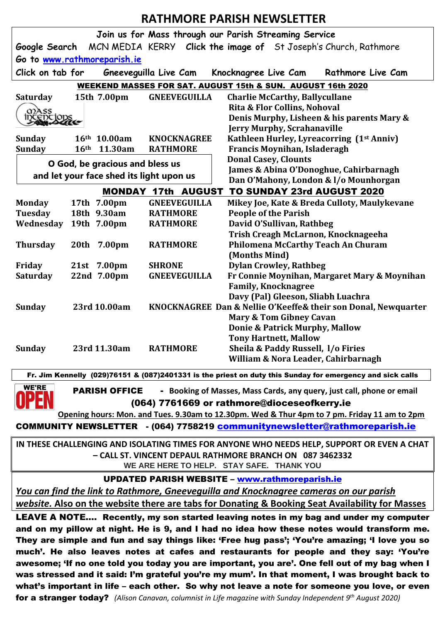## **RATHMORE PARISH NEWSLETTER**

| Join us for Mass through our Parish Streaming Service                                                         |                  |              |                     |                                                                 |
|---------------------------------------------------------------------------------------------------------------|------------------|--------------|---------------------|-----------------------------------------------------------------|
| Google Search                                                                                                 |                  |              |                     | MCN MEDIA KERRY Click the image of St Joseph's Church, Rathmore |
| Go to www.rathmoreparish.ie                                                                                   |                  |              |                     |                                                                 |
|                                                                                                               |                  |              |                     |                                                                 |
| Click on tab for<br>Gneeveguilla Live Cam<br>Knocknagree Live Cam<br>Rathmore Live Cam                        |                  |              |                     |                                                                 |
| WEEKEND MASSES FOR SAT. AUGUST 15th & SUN. AUGUST 16th 2020                                                   |                  |              |                     |                                                                 |
| Saturday                                                                                                      |                  | 15th 7.00pm  | <b>GNEEVEGUILLA</b> | <b>Charlie McCarthy, Ballycullane</b>                           |
| 02ASS                                                                                                         |                  |              |                     | Rita & Flor Collins, Nohoval                                    |
| Déce                                                                                                          |                  |              |                     | Denis Murphy, Lisheen & his parents Mary &                      |
|                                                                                                               |                  |              |                     | <b>Jerry Murphy, Scrahanaville</b>                              |
| <b>Sunday</b>                                                                                                 |                  | 16th 10.00am | <b>KNOCKNAGREE</b>  | Kathleen Hurley, Lyreacorring (1 <sup>st</sup> Anniv)           |
| <b>Sunday</b>                                                                                                 | 16 <sup>th</sup> | 11.30am      | <b>RATHMORE</b>     | Francis Moynihan, Isladeragh<br><b>Donal Casey, Clounts</b>     |
| O God, be gracious and bless us                                                                               |                  |              |                     | James & Abina O'Donoghue, Cahirbarnagh                          |
| and let your face shed its light upon us                                                                      |                  |              |                     | Dan O'Mahony, London & I/o Mounhorgan                           |
| <b>TO SUNDAY 23rd AUGUST 2020</b><br><b>MONDAY 17th AUGUST</b>                                                |                  |              |                     |                                                                 |
| <b>Monday</b>                                                                                                 |                  | 17th 7.00pm  | <b>GNEEVEGUILLA</b> | Mikey Joe, Kate & Breda Culloty, Maulykevane                    |
| <b>Tuesday</b>                                                                                                |                  | 18th 9.30am  | <b>RATHMORE</b>     | <b>People of the Parish</b>                                     |
| Wednesday                                                                                                     |                  | 19th 7.00pm  | <b>RATHMORE</b>     | David O'Sullivan, Rathbeg                                       |
|                                                                                                               |                  |              |                     | Trish Creagh McLarnon, Knocknageeha                             |
| <b>Thursday</b>                                                                                               |                  | 20th 7.00pm  | <b>RATHMORE</b>     | <b>Philomena McCarthy Teach An Churam</b>                       |
|                                                                                                               |                  |              |                     | (Months Mind)                                                   |
| Friday                                                                                                        |                  | 21st 7.00pm  | <b>SHRONE</b>       | <b>Dylan Crowley, Rathbeg</b>                                   |
| <b>Saturday</b>                                                                                               |                  | 22nd 7.00pm  | <b>GNEEVEGUILLA</b> | Fr Connie Moynihan, Margaret Mary & Moynihan                    |
|                                                                                                               |                  |              |                     | <b>Family, Knocknagree</b>                                      |
|                                                                                                               |                  |              |                     | Davy (Pal) Gleeson, Sliabh Luachra                              |
| <b>Sunday</b>                                                                                                 |                  | 23rd 10.00am |                     | KNOCKNAGREE Dan & Nellie O'Keeffe& their son Donal, Newquarter  |
|                                                                                                               |                  |              |                     | Mary & Tom Gibney Cavan                                         |
|                                                                                                               |                  |              |                     | Donie & Patrick Murphy, Mallow                                  |
|                                                                                                               |                  |              |                     | <b>Tony Hartnett, Mallow</b>                                    |
| Sunday                                                                                                        |                  | 23rd 11.30am | <b>RATHMORE</b>     | Sheila & Paddy Russell, I/o Firies                              |
|                                                                                                               |                  |              |                     | William & Nora Leader, Cahirbarnagh                             |
| Fr. Jim Kennelly (029)76151 & (087)2401331 is the priest on duty this Sunday for emergency and sick calls     |                  |              |                     |                                                                 |
| <b>WE'RE</b><br>- Booking of Masses, Mass Cards, any query, just call, phone or email<br><b>PARISH OFFICE</b> |                  |              |                     |                                                                 |
|                                                                                                               |                  |              |                     |                                                                 |
| (064) 7761669 or rathmore@dioceseofkerry.ie                                                                   |                  |              |                     |                                                                 |
| Opening hours: Mon. and Tues. 9.30am to 12.30pm. Wed & Thur 4pm to 7 pm. Friday 11 am to 2pm                  |                  |              |                     |                                                                 |
| COMMUNITY NEWSLETTER - (064) 7758219 communitynewsletter@rathmoreparish.ie                                    |                  |              |                     |                                                                 |
| IN THESE CHALLENGING AND ISOLATING TIMES FOR ANYONE WHO NEEDS HELP, SUPPORT OR EVEN A CHAT                    |                  |              |                     |                                                                 |
| - CALL ST. VINCENT DEPAUL RATHMORE BRANCH ON 087 3462332                                                      |                  |              |                     |                                                                 |
| WE ARE HERE TO HELP. STAY SAFE. THANK YOU                                                                     |                  |              |                     |                                                                 |
| <b>UPDATED PARISH WEBSITE - www.rathmoreparish.ie</b>                                                         |                  |              |                     |                                                                 |
| You can find the link to Rathmore, Gneeveguilla and Knocknagree cameras on our parish                         |                  |              |                     |                                                                 |
|                                                                                                               |                  |              |                     |                                                                 |
| website. Also on the website there are tabs for Donating & Booking Seat Availability for Masses               |                  |              |                     |                                                                 |
| LEAVE A NOTE Recently, my son started leaving notes in my bag and under my computer                           |                  |              |                     |                                                                 |
| and on my pillow at night. He is 9, and I had no idea how these notes would transform me.                     |                  |              |                     |                                                                 |
| They are simple and fun and say things like: 'Free hug pass'; 'You're amazing; 'I love you so                 |                  |              |                     |                                                                 |
| much'. He also leaves notes at cafes and restaurants for people and they say: 'You're                         |                  |              |                     |                                                                 |
| awesome; 'If no one told you today you are important, you are'. One fell out of my bag when I                 |                  |              |                     |                                                                 |
| was stressed and it said: I'm grateful you're my mum'. In that moment, I was brought back to                  |                  |              |                     |                                                                 |
| what's important in life - each other. So why not leave a note for someone you love, or even                  |                  |              |                     |                                                                 |

for a stranger today? *(Alison Canavan, columnist in Life magazine with Sunday Independent 9th August 2020)*